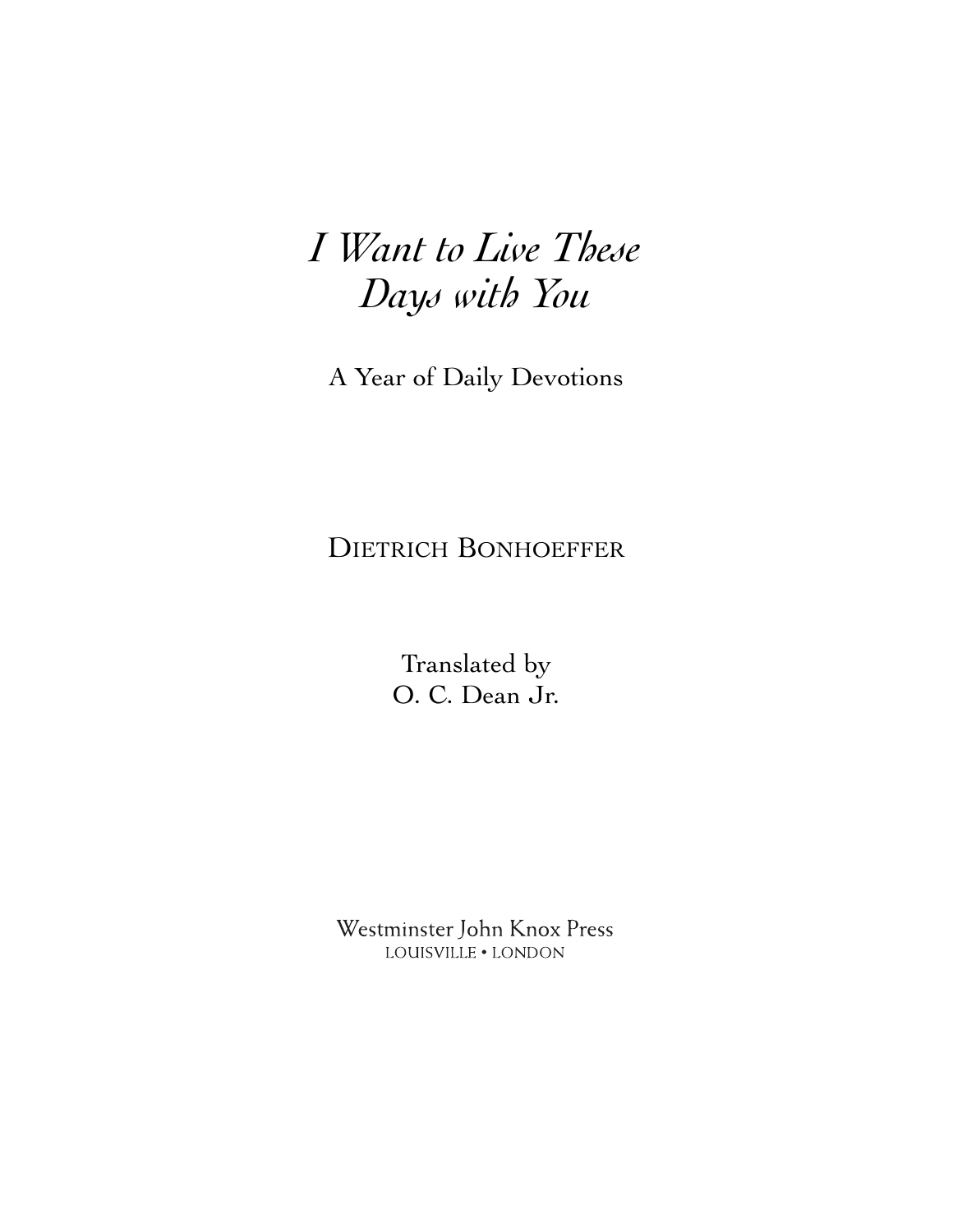# *I Want to Live These Days with You*

A Year of Daily Devotions

## DIETRICH BONHOEFFER

Translated by O. C. Dean Jr.

Westminster John Knox Press LOUISVILLE . LONDON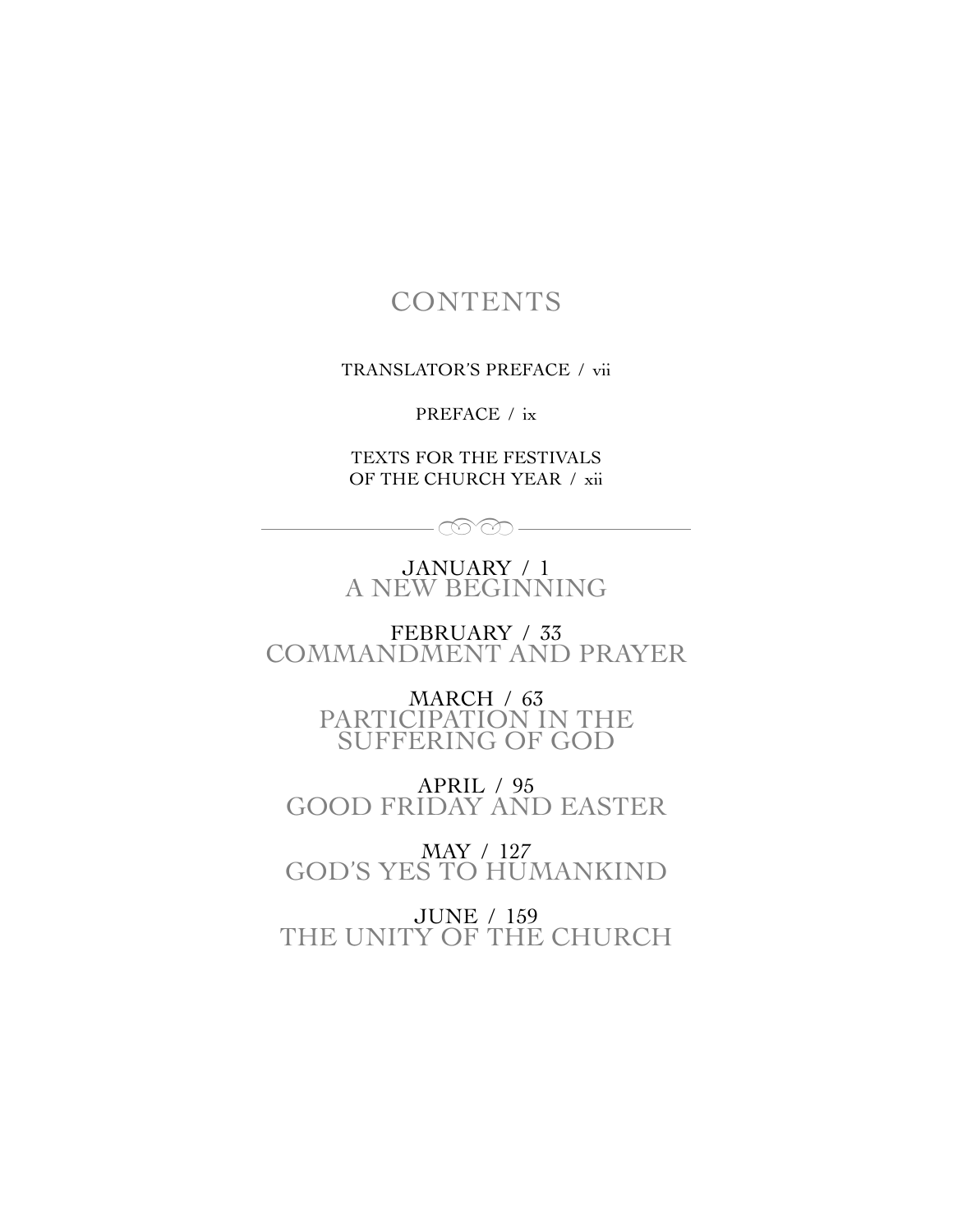### **CONTENTS**

TRANSLATOR'S PREFACE / vii

PREFACE / ix

TEXTS FOR THE FESTIVALS OF THE CHURCH YEAR / xii

JANUARY / 1 A NEW BEGINNING

 $\circledcirc$ 

FEBRUARY / 33 COMMANDMENT AND PRAYER

> MARCH / 63 PARTICIPATION IN THE SUFFERING OF GOD

APRIL / 95 GOOD FRIDAY AND EASTER

MAY / 127 GOD'S YES TO HUMANKIND

JUNE / 159 THE UNITY OF THE CHURCH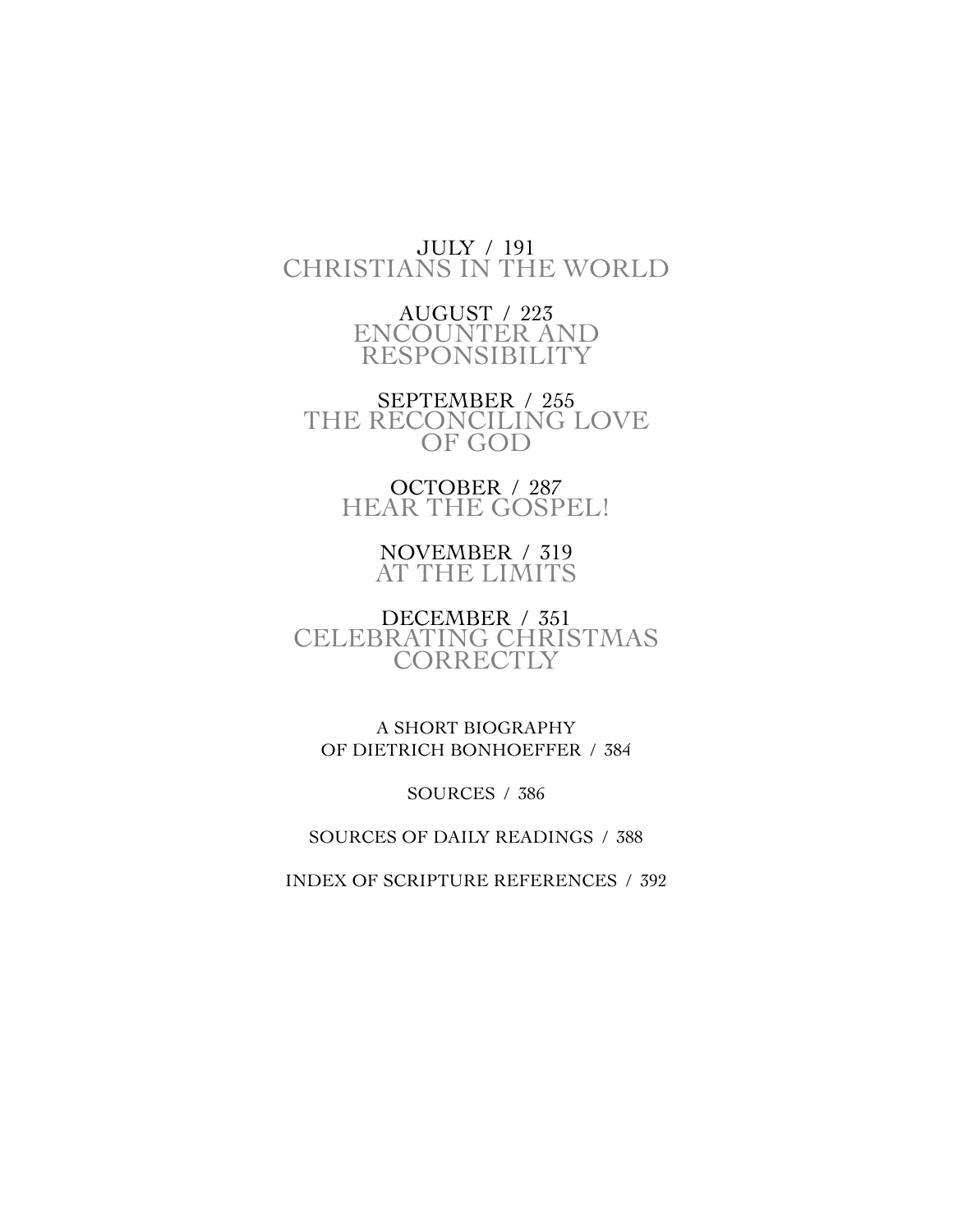#### JULY / 191 CHRISTIANS IN THE WORLD

AUGUST / 223 ENCOUNTER AND RESPONSIBILITY

SEPTEMBER / 255 THE RECONCILING LOVE OF GOD

> OCTOBER / 287 HEAR THE GOSPEL!

> > NOVEMBER / 319 AT THE LIMITS

DECEMBER / 351 CELEBRATING CHRISTMAS **CORRECTLY** 

A SHORT BIOGRAPHY OF DIETRICH BONHOEFFER / 384

SOURCES / 386

SOURCES OF DAILY READINGS / 388

INDEX OF SCRIPTURE REFERENCES / 392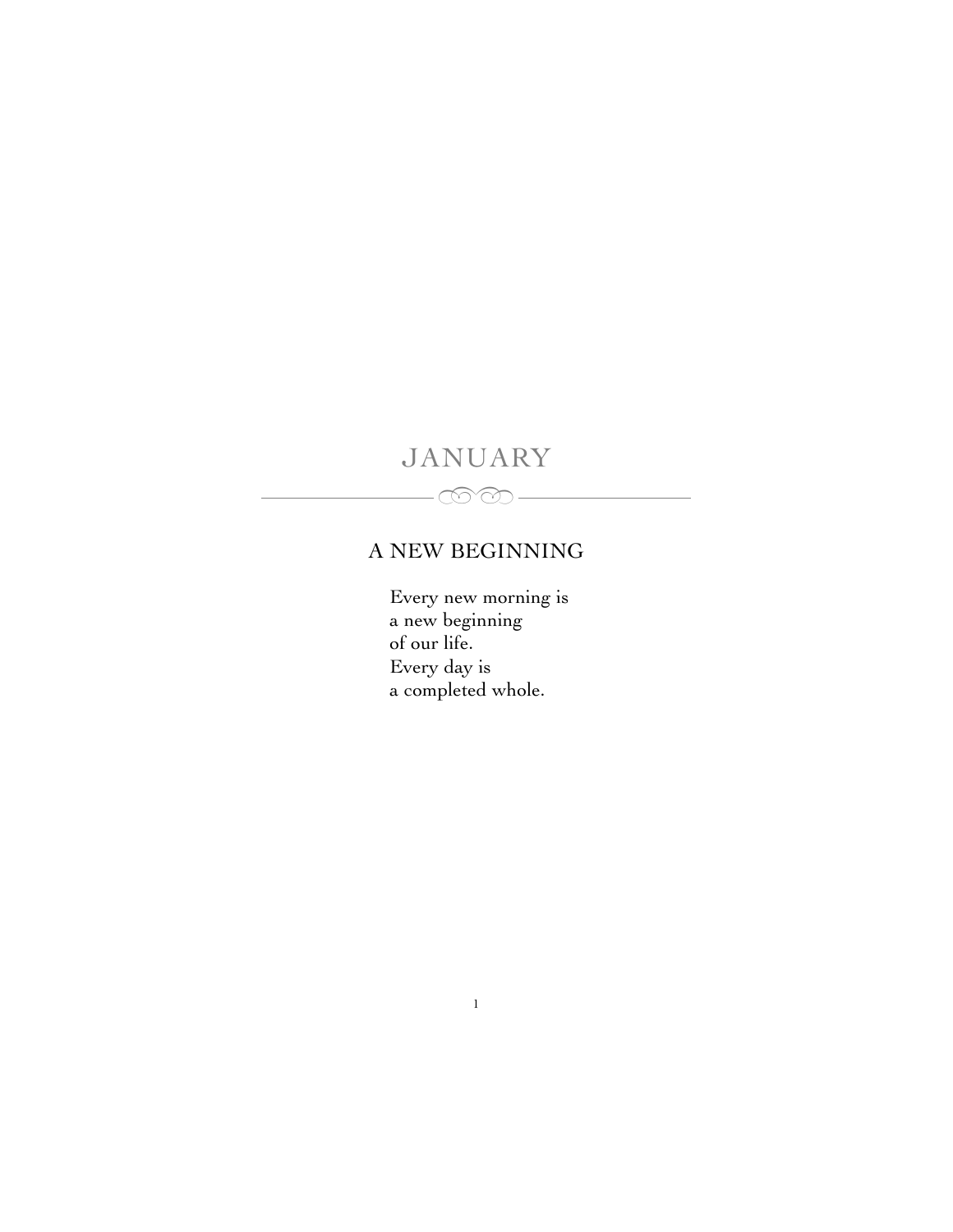# JANUARY

 $\infty$ 

### A NEW BEGINNING

Every new morning is a new beginning of our life. Every day is a completed whole.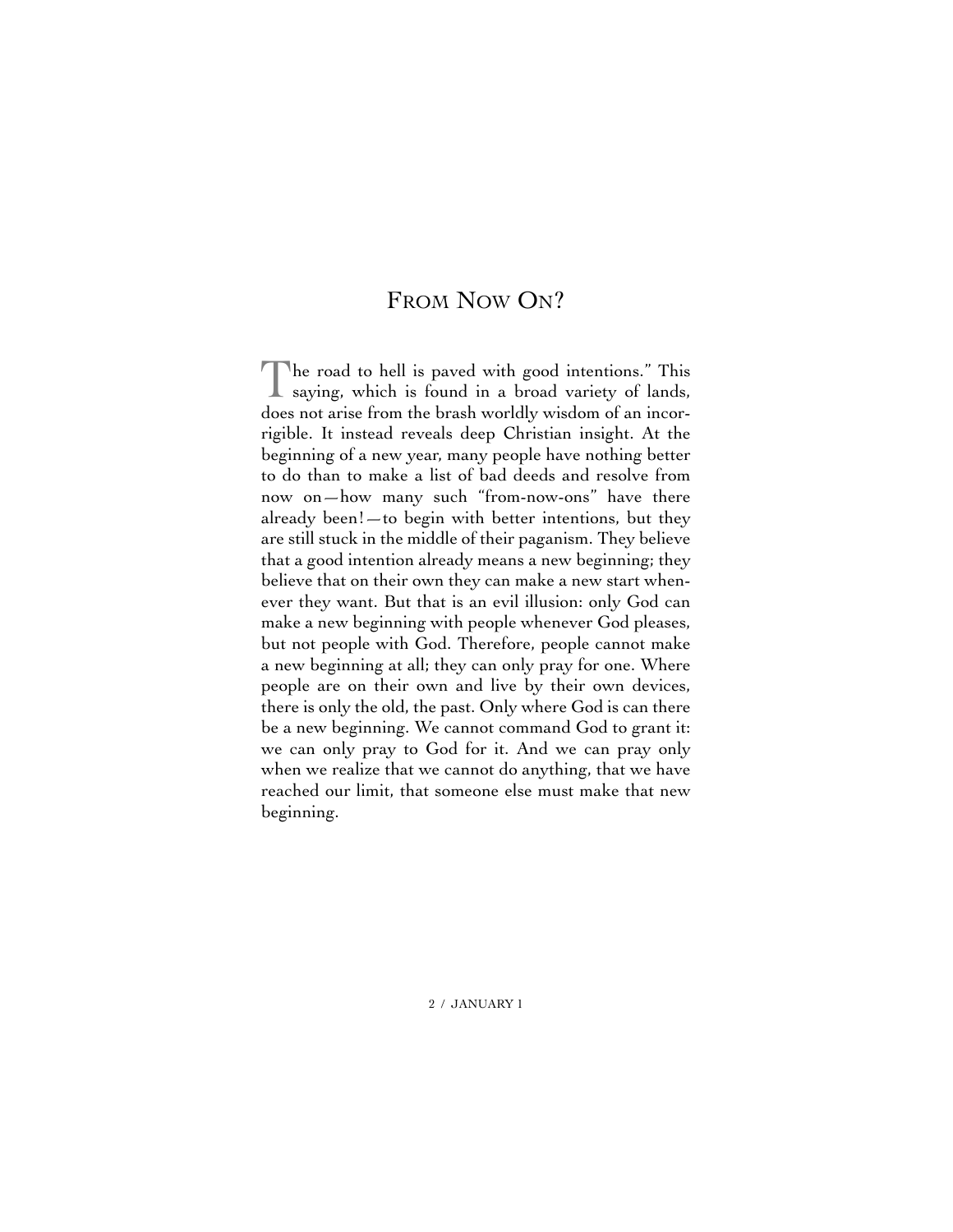#### FROM NOW ON?

The road to hell is paved with good intentions." This saying, which is found in a broad variety of lands, does not arise from the brash worldly wisdom of an incorrigible. It instead reveals deep Christian insight. At the beginning of a new year, many people have nothing better to do than to make a list of bad deeds and resolve from now on—how many such "from-now-ons" have there already been!—to begin with better intentions, but they are still stuck in the middle of their paganism. They believe that a good intention already means a new beginning; they believe that on their own they can make a new start whenever they want. But that is an evil illusion: only God can make a new beginning with people whenever God pleases, but not people with God. Therefore, people cannot make a new beginning at all; they can only pray for one. Where people are on their own and live by their own devices, there is only the old, the past. Only where God is can there be a new beginning. We cannot command God to grant it: we can only pray to God for it. And we can pray only when we realize that we cannot do anything, that we have reached our limit, that someone else must make that new beginning.

2 / JANUARY 1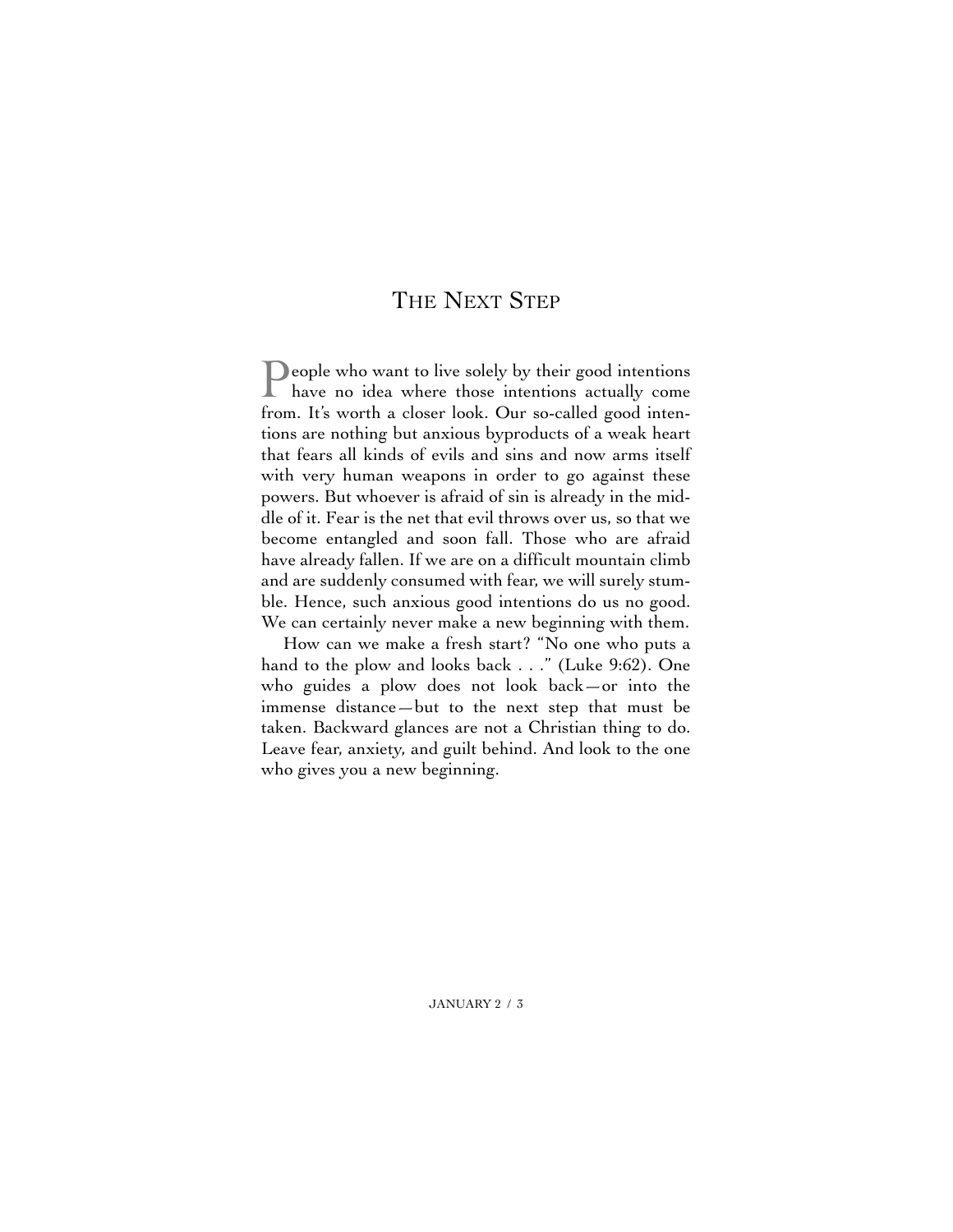#### THE NEXT STEP

**People who want to live solely by their good intentions** have no idea where those intentions actually come from. It's worth a closer look. Our so-called good intentions are nothing but anxious byproducts of a weak heart that fears all kinds of evils and sins and now arms itself with very human weapons in order to go against these powers. But whoever is afraid of sin is already in the middle of it. Fear is the net that evil throws over us, so that we become entangled and soon fall. Those who are afraid have already fallen. If we are on a difficult mountain climb and are suddenly consumed with fear, we will surely stumble. Hence, such anxious good intentions do us no good. We can certainly never make a new beginning with them.

How can we make a fresh start? "No one who puts a hand to the plow and looks back . . ." (Luke 9:62). One who guides a plow does not look back—or into the immense distance—but to the next step that must be taken. Backward glances are not a Christian thing to do. Leave fear, anxiety, and guilt behind. And look to the one who gives you a new beginning.

JANUARY 2 / 3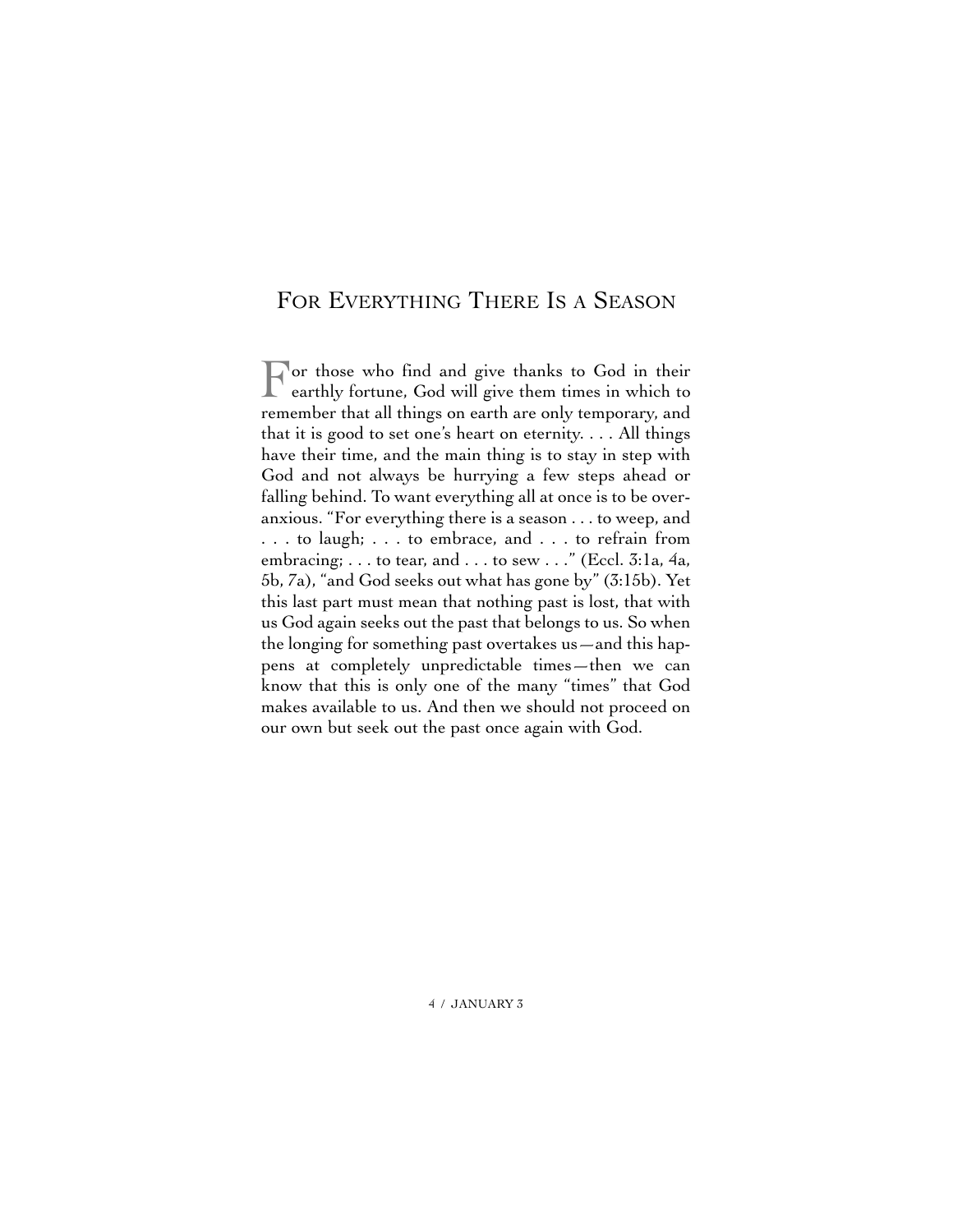#### FOR EVERYTHING THERE IS A SEASON

For those who find and give thanks to God in their<br>earthly fortune Cod will earthly fortune, God will give them times in which to remember that all things on earth are only temporary, and that it is good to set one's heart on eternity. . . . All things have their time, and the main thing is to stay in step with God and not always be hurrying a few steps ahead or falling behind. To want everything all at once is to be overanxious. "For everything there is a season . . . to weep, and . . . to laugh; . . . to embrace, and . . . to refrain from embracing; . . . to tear, and . . . to sew . . ." (Eccl. 3:1a, 4a, 5b, 7a), "and God seeks out what has gone by" (3:15b). Yet this last part must mean that nothing past is lost, that with us God again seeks out the past that belongs to us. So when the longing for something past overtakes us—and this happens at completely unpredictable times—then we can know that this is only one of the many "times" that God makes available to us. And then we should not proceed on our own but seek out the past once again with God.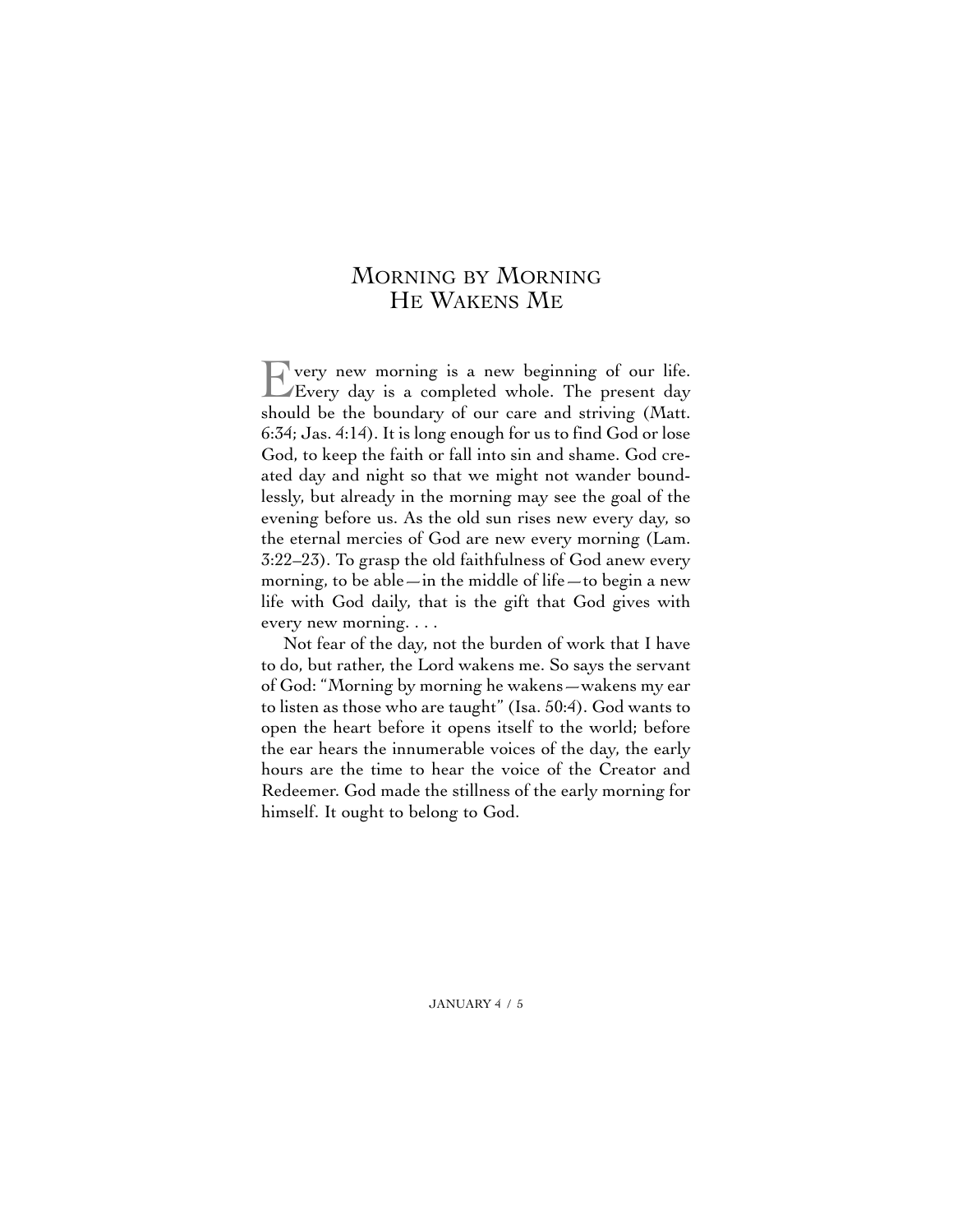#### MORNING BY MORNING HE WAKENS ME

Every new morning is a new beginning of our life. Every day is a completed whole. The present day should be the boundary of our care and striving (Matt. 6:34; Jas. 4:14). It is long enough for us to find God or lose God, to keep the faith or fall into sin and shame. God created day and night so that we might not wander boundlessly, but already in the morning may see the goal of the evening before us. As the old sun rises new every day, so the eternal mercies of God are new every morning (Lam. 3:22–23). To grasp the old faithfulness of God anew every morning, to be able—in the middle of life—to begin a new life with God daily, that is the gift that God gives with every new morning. . . .

Not fear of the day, not the burden of work that I have to do, but rather, the Lord wakens me. So says the servant of God: "Morning by morning he wakens—wakens my ear to listen as those who are taught" (Isa. 50:4). God wants to open the heart before it opens itself to the world; before the ear hears the innumerable voices of the day, the early hours are the time to hear the voice of the Creator and Redeemer. God made the stillness of the early morning for himself. It ought to belong to God.

JANUARY 4 / 5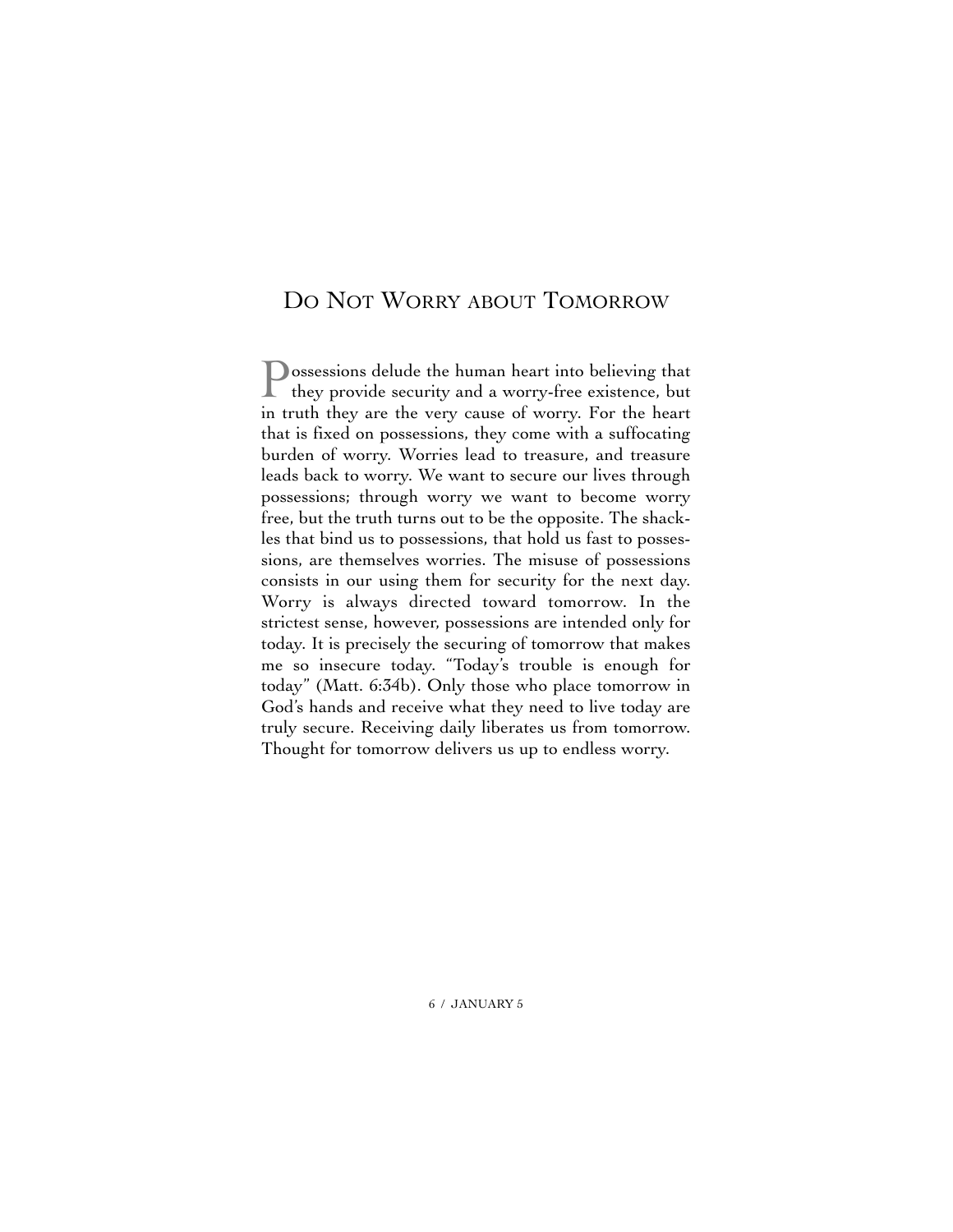#### DO NOT WORRY ABOUT TOMORROW

Possessions delude the human heart into believing that they provide security and a worry-free existence, but in truth they are the very cause of worry. For the heart that is fixed on possessions, they come with a suffocating burden of worry. Worries lead to treasure, and treasure leads back to worry. We want to secure our lives through possessions; through worry we want to become worry free, but the truth turns out to be the opposite. The shackles that bind us to possessions, that hold us fast to possessions, are themselves worries. The misuse of possessions consists in our using them for security for the next day. Worry is always directed toward tomorrow. In the strictest sense, however, possessions are intended only for today. It is precisely the securing of tomorrow that makes me so insecure today. "Today's trouble is enough for today" (Matt. 6:34b). Only those who place tomorrow in God's hands and receive what they need to live today are truly secure. Receiving daily liberates us from tomorrow. Thought for tomorrow delivers us up to endless worry.

6 / JANUARY 5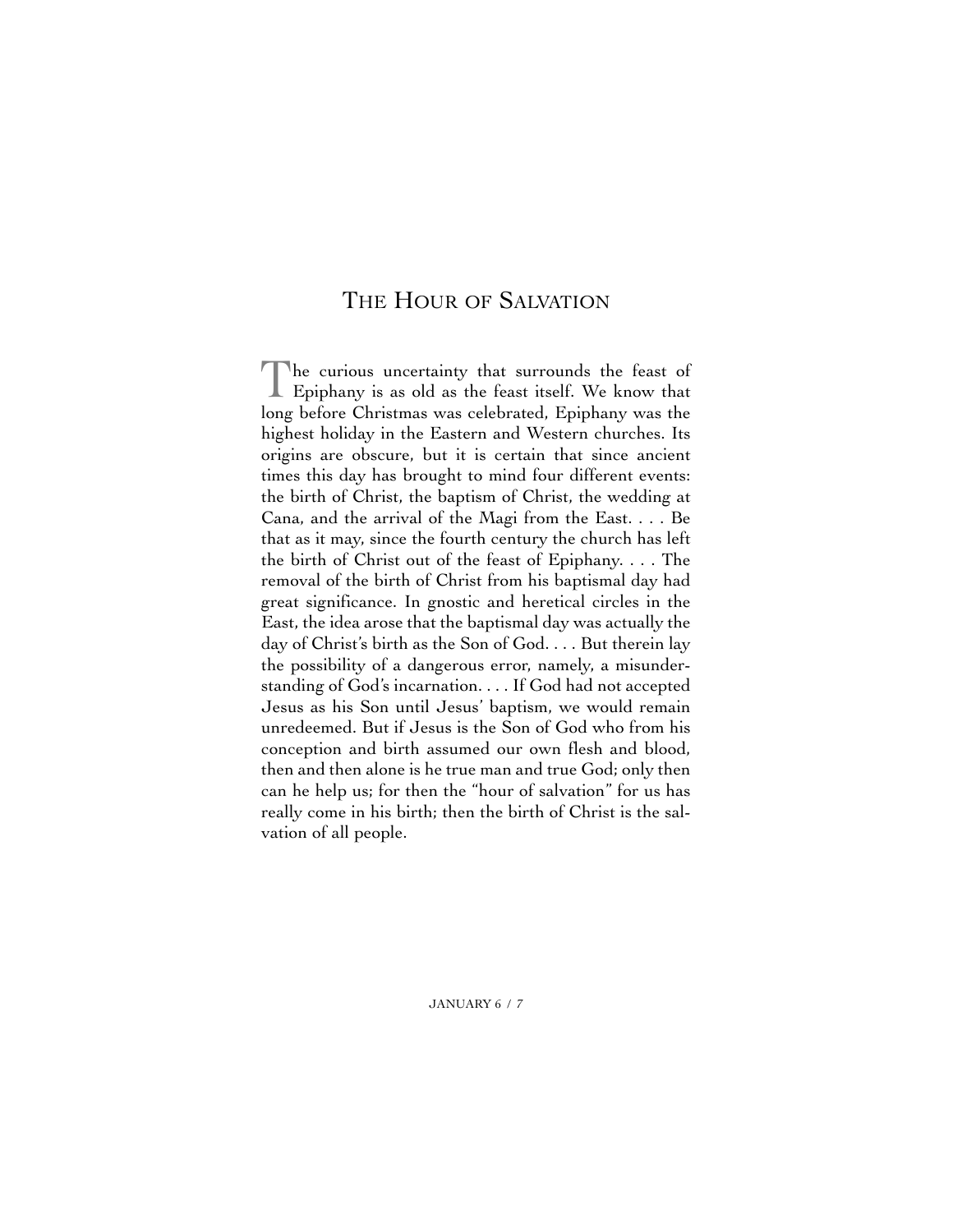#### THE HOUR OF SALVATION

The curious uncertainty that surrounds the feast of Epiphany is as old as the feast itself. We know that long before Christmas was celebrated, Epiphany was the highest holiday in the Eastern and Western churches. Its origins are obscure, but it is certain that since ancient times this day has brought to mind four different events: the birth of Christ, the baptism of Christ, the wedding at Cana, and the arrival of the Magi from the East. . . . Be that as it may, since the fourth century the church has left the birth of Christ out of the feast of Epiphany. . . . The removal of the birth of Christ from his baptismal day had great significance. In gnostic and heretical circles in the East, the idea arose that the baptismal day was actually the day of Christ's birth as the Son of God. . . . But therein lay the possibility of a dangerous error, namely, a misunderstanding of God's incarnation. . . . If God had not accepted Jesus as his Son until Jesus' baptism, we would remain unredeemed. But if Jesus is the Son of God who from his conception and birth assumed our own flesh and blood, then and then alone is he true man and true God; only then can he help us; for then the "hour of salvation" for us has really come in his birth; then the birth of Christ is the salvation of all people.

JANUARY 6 / 7